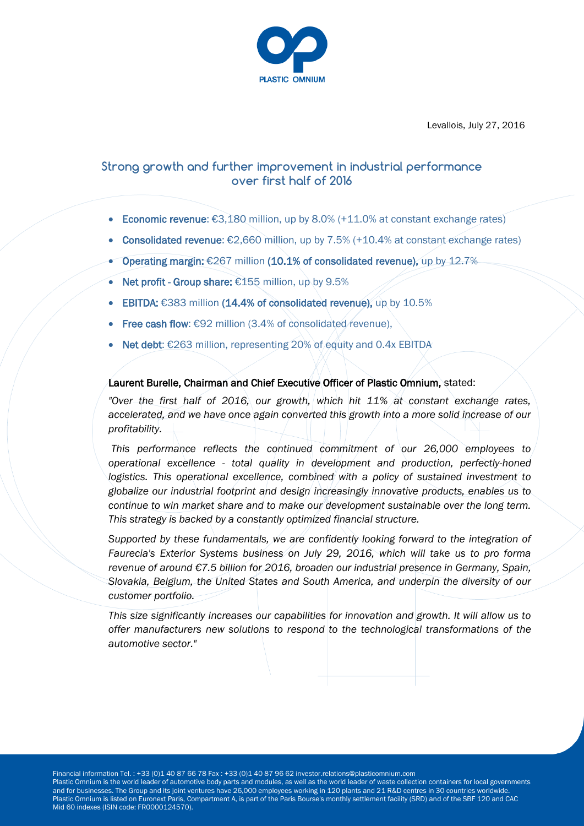

Levallois, July 27, 2016

# **Strong growth and further improvement in industrial performance over first half of 2016**

- Economic revenue:  $€3,180$  million, up by 8.0% (+11.0% at constant exchange rates)
- Consolidated revenue:  $€2,660$  million, up by 7.5% (+10.4% at constant exchange rates)
- Operating margin: €267 million (10.1% of consolidated revenue), up by 12.7%
- Net profit Group share: €155 million, up by 9.5%
- EBITDA: €383 million (14.4% of consolidated revenue), up by 10.5%
- Free cash flow: €92 million (3.4% of consolidated revenue),
- Net debt: €263 million, representing 20% of equity and 0.4x EBITDA

#### Laurent Burelle, Chairman and Chief Executive Officer of Plastic Omnium, stated:

*"Over the first half of 2016, our growth, which hit 11% at constant exchange rates, accelerated, and we have once again converted this growth into a more solid increase of our profitability.*

*This performance reflects the continued commitment of our 26,000 employees to operational excellence - total quality in development and production, perfectly-honed*  logistics. This operational excellence, combined with a policy of sustained investment to *globalize our industrial footprint and design increasingly innovative products, enables us to continue to win market share and to make our development sustainable over the long term. This strategy is backed by a constantly optimized financial structure.*

*Supported by these fundamentals, we are confidently looking forward to the integration of Faurecia's Exterior Systems business on July 29, 2016, which will take us to pro forma revenue of around €7.5 billion for 2016, broaden our industrial presence in Germany, Spain, Slovakia, Belgium, the United States and South America, and underpin the diversity of our customer portfolio.*

*This size significantly increases our capabilities for innovation and growth. It will allow us to offer manufacturers new solutions to respond to the technological transformations of the automotive sector."*

Financial information Tel. : +33 (0)1 40 87 66 78 Fax : +33 (0)1 40 87 96 62 investor.relations@plasticomnium.com

Plastic Omnium is the world leader of automotive body parts and modules, as well as the world leader of waste collection containers for local governments and for businesses. The Group and its joint ventures have 26,000 employees working in 120 plants and 21 R&D centres in 30 countries worldwide. Plastic Omnium is listed on Euronext Paris, Compartment A, is part of the Paris Bourse's monthly settlement facility (SRD) and of the SBF 120 and CAC Mid 60 indexes (ISIN code: FR0000124570).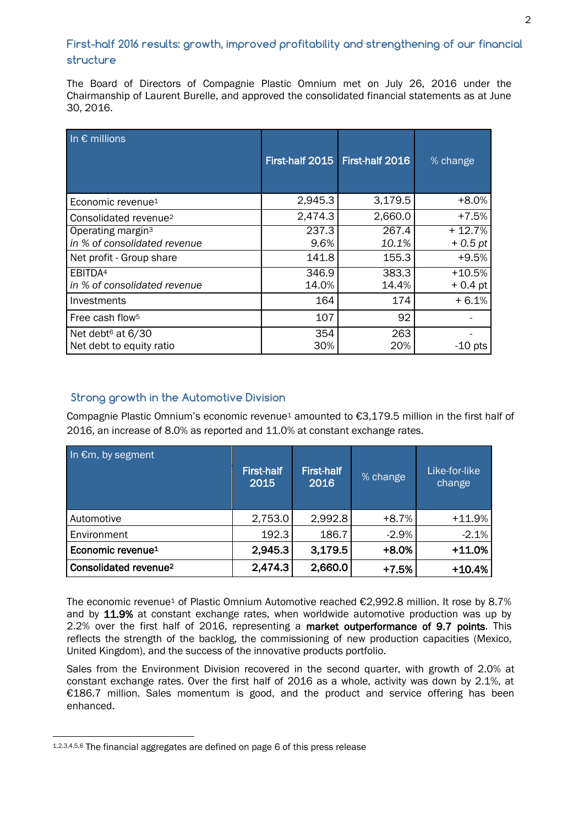## **First-half 2016 results: growth, improved profitability and strengthening of our financial structure**

The Board of Directors of Compagnie Plastic Omnium met on July 26, 2016 under the Chairmanship of Laurent Burelle, and approved the consolidated financial statements as at June 30, 2016.

| In $\epsilon$ millions            | First-half 2015 | First-half 2016 | % change  |
|-----------------------------------|-----------------|-----------------|-----------|
| Economic revenue <sup>1</sup>     | 2,945.3         | 3,179.5         | +8.0%     |
| Consolidated revenue <sup>2</sup> | 2,474.3         | 2,660.0         | $+7.5%$   |
| Operating margin <sup>3</sup>     | 237.3           | 267.4           | $+12.7%$  |
| in % of consolidated revenue      | 9.6%            | 10.1%           | $+0.5$ pt |
| Net profit - Group share          | 141.8           | 155.3           | $+9.5%$   |
| EBITDA <sup>4</sup>               | 346.9           | 383.3           | $+10.5%$  |
| in % of consolidated revenue      | 14.0%           | 14.4%           | $+0.4$ pt |
| Investments                       | 164             | 174             | $+6.1%$   |
| Free cash flow <sup>5</sup>       | 107             | 92              |           |
| Net debt <sup>6</sup> at 6/30     | 354             | 263             |           |
| Net debt to equity ratio          | 30%             | 20%             | $-10$ pts |

## <sup>1</sup>**Strong growth in the Automotive Division**

Compagnie Plastic Omnium's economic revenue<sup>1</sup> amounted to €3,179.5 million in the first half of 2016, an increase of 8.0% as reported and 11.0% at constant exchange rates.

| In €m, by segment                 | <b>First-half</b><br>2015 | First-half<br>2016 | % change | Like-for-like<br>change |
|-----------------------------------|---------------------------|--------------------|----------|-------------------------|
| Automotive                        | 2,753.0                   | 2,992.8            | $+8.7%$  | $+11.9%$                |
| Environment                       | 192.3                     | 186.7              | $-2.9%$  | $-2.1%$                 |
| Economic revenue <sup>1</sup>     | 2,945.3                   | 3,179.5            | $+8.0%$  | $+11.0%$                |
| Consolidated revenue <sup>2</sup> | 2,474.3                   | 2,660.0            | $+7.5%$  | $+10.4%$                |

The economic revenue<sup>1</sup> of Plastic Omnium Automotive reached €2,992.8 million. It rose by 8.7% and by 11.9% at constant exchange rates, when worldwide automotive production was up by 2.2% over the first half of 2016, representing a market outperformance of 9.7 points. This reflects the strength of the backlog, the commissioning of new production capacities (Mexico, United Kingdom), and the success of the innovative products portfolio.

Sales from the Environment Division recovered in the second quarter, with growth of 2.0% at constant exchange rates. Over the first half of 2016 as a whole, activity was down by 2.1%, at €186.7 million. Sales momentum is good, and the product and service offering has been enhanced.

 $\overline{a}$ 

<sup>1,2,3,4,5,6</sup> The financial aggregates are defined on page 6 of this press release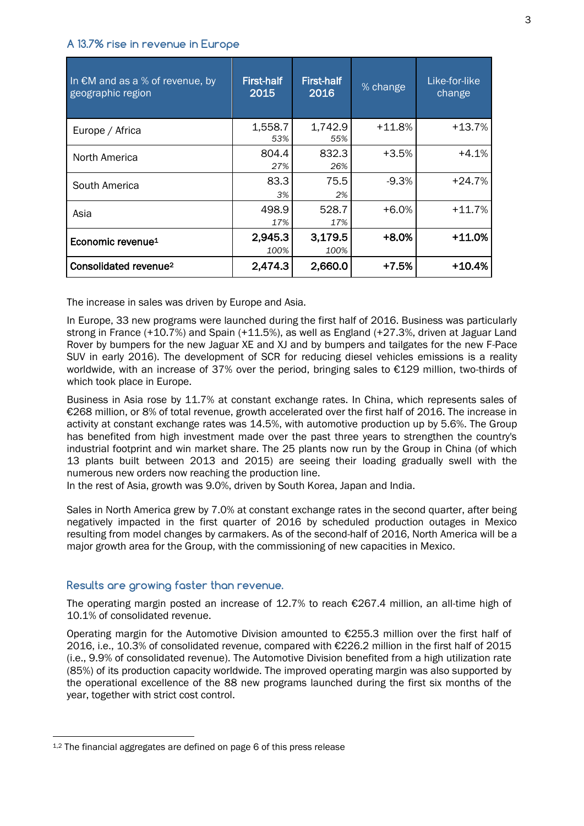#### **A 13.7% rise in revenue in Europe**

| In $EM$ and as a % of revenue, by<br>geographic region | First-half<br>2015 | <b>First-half</b><br>2016 | % change | Like-for-like<br>change |
|--------------------------------------------------------|--------------------|---------------------------|----------|-------------------------|
| Europe / Africa                                        | 1,558.7<br>53%     | 1,742.9<br>55%            | $+11.8%$ | +13.7%                  |
| North America                                          | 804.4<br>27%       | 832.3<br>26%              | $+3.5%$  | $+4.1\%$                |
| South America                                          | 83.3<br>3%         | 75.5<br>2%                | $-9.3%$  | +24.7%                  |
| Asia                                                   | 498.9<br>17%       | 528.7<br>17%              | $+6.0%$  | $+11.7%$                |
| Economic revenue <sup>1</sup>                          | 2,945.3<br>100%    | 3,179.5<br>100%           | $+8.0%$  | $+11.0%$                |
| Consolidated revenue <sup>2</sup>                      | 2,474.3            | 2,660.0                   | +7.5%    | $+10.4%$                |

The increase in sales was driven by Europe and Asia.

In Europe, 33 new programs were launched during the first half of 2016. Business was particularly strong in France (+10.7%) and Spain (+11.5%), as well as England (+27.3%, driven at Jaguar Land Rover by bumpers for the new Jaguar XE and XJ and by bumpers and tailgates for the new F-Pace SUV in early 2016). The development of SCR for reducing diesel vehicles emissions is a reality worldwide, with an increase of 37% over the period, bringing sales to €129 million, two-thirds of which took place in Europe.

Business in Asia rose by 11.7% at constant exchange rates. In China, which represents sales of €268 million, or 8% of total revenue, growth accelerated over the first half of 2016. The increase in activity at constant exchange rates was 14.5%, with automotive production up by 5.6%. The Group has benefited from high investment made over the past three years to strengthen the country's industrial footprint and win market share. The 25 plants now run by the Group in China (of which 13 plants built between 2013 and 2015) are seeing their loading gradually swell with the numerous new orders now reaching the production line.

In the rest of Asia, growth was 9.0%, driven by South Korea, Japan and India.

Sales in North America grew by 7.0% at constant exchange rates in the second quarter, after being negatively impacted in the first quarter of 2016 by scheduled production outages in Mexico resulting from model changes by carmakers. As of the second-half of 2016, North America will be a major growth area for the Group, with the commissioning of new capacities in Mexico.

#### **Results are growing faster than revenue.**

The operating margin posted an increase of 12.7% to reach €267.4 million, an all-time high of 10.1% of consolidated revenue.

Operating margin for the Automotive Division amounted to  $E$ 255.3 million over the first half of 2016, i.e., 10.3% of consolidated revenue, compared with €226.2 million in the first half of 2015 (i.e., 9.9% of consolidated revenue). The Automotive Division benefited from a high utilization rate (85%) of its production capacity worldwide. The improved operating margin was also supported by the operational excellence of the 88 new programs launched during the first six months of the year, together with strict cost control.

 $\overline{a}$ 

<sup>&</sup>lt;sup>1,2</sup> The financial aggregates are defined on page 6 of this press release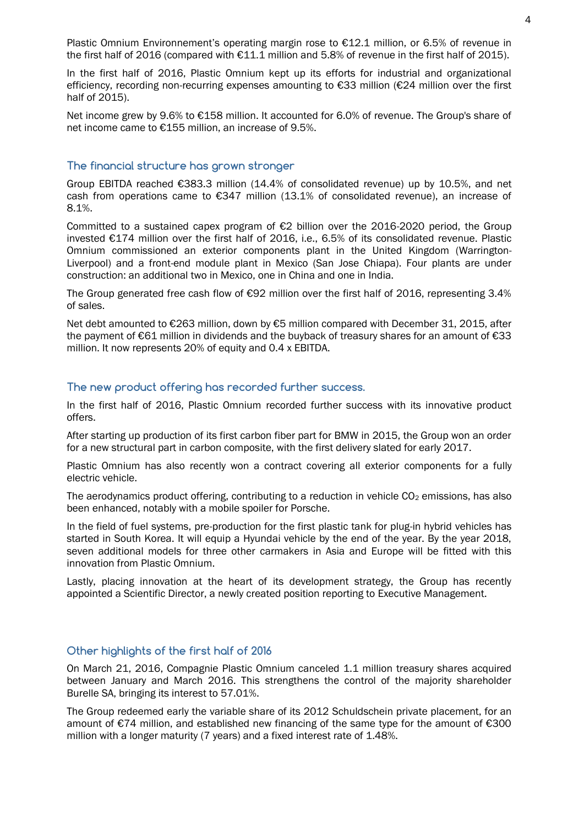Plastic Omnium Environnement's operating margin rose to €12.1 million, or 6.5% of revenue in the first half of 2016 (compared with €11.1 million and 5.8% of revenue in the first half of 2015).

In the first half of 2016, Plastic Omnium kept up its efforts for industrial and organizational efficiency, recording non-recurring expenses amounting to €33 million (€24 million over the first half of 2015).

Net income grew by 9.6% to €158 million. It accounted for 6.0% of revenue. The Group's share of net income came to €155 million, an increase of 9.5%.

## **The financial structure has grown stronger**

Group EBITDA reached €383.3 million (14.4% of consolidated revenue) up by 10.5%, and net cash from operations came to  $\epsilon$ 347 million (13.1% of consolidated revenue), an increase of 8.1%.

Committed to a sustained capex program of €2 billion over the 2016-2020 period, the Group invested €174 million over the first half of 2016, i.e., 6.5% of its consolidated revenue. Plastic Omnium commissioned an exterior components plant in the United Kingdom (Warrington-Liverpool) and a front-end module plant in Mexico (San Jose Chiapa). Four plants are under construction: an additional two in Mexico, one in China and one in India.

The Group generated free cash flow of €92 million over the first half of 2016, representing 3.4% of sales.

Net debt amounted to €263 million, down by €5 million compared with December 31, 2015, after the payment of €61 million in dividends and the buyback of treasury shares for an amount of €33 million. It now represents 20% of equity and 0.4 x EBITDA.

#### **The new product offering has recorded further success.**

In the first half of 2016, Plastic Omnium recorded further success with its innovative product offers.

After starting up production of its first carbon fiber part for BMW in 2015, the Group won an order for a new structural part in carbon composite, with the first delivery slated for early 2017.

Plastic Omnium has also recently won a contract covering all exterior components for a fully electric vehicle.

The aerodynamics product offering, contributing to a reduction in vehicle  $CO<sub>2</sub>$  emissions, has also been enhanced, notably with a mobile spoiler for Porsche.

In the field of fuel systems, pre-production for the first plastic tank for plug-in hybrid vehicles has started in South Korea. It will equip a Hyundai vehicle by the end of the year. By the year 2018, seven additional models for three other carmakers in Asia and Europe will be fitted with this innovation from Plastic Omnium.

Lastly, placing innovation at the heart of its development strategy, the Group has recently appointed a Scientific Director, a newly created position reporting to Executive Management.

#### **Other highlights of the first half of 2016**

On March 21, 2016, Compagnie Plastic Omnium canceled 1.1 million treasury shares acquired between January and March 2016. This strengthens the control of the majority shareholder Burelle SA, bringing its interest to 57.01%.

The Group redeemed early the variable share of its 2012 Schuldschein private placement, for an amount of €74 million, and established new financing of the same type for the amount of €300 million with a longer maturity (7 years) and a fixed interest rate of 1.48%.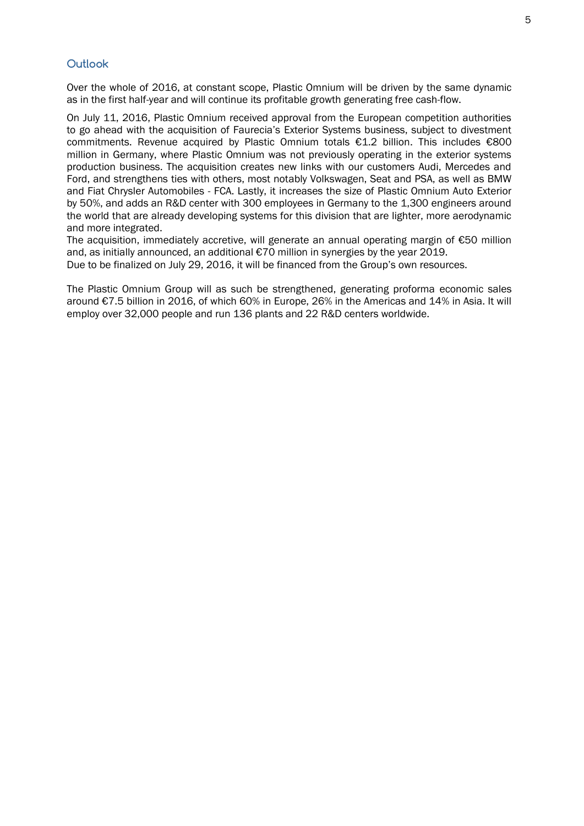#### **Outlook**

Over the whole of 2016, at constant scope, Plastic Omnium will be driven by the same dynamic as in the first half-year and will continue its profitable growth generating free cash-flow.

On July 11, 2016, Plastic Omnium received approval from the European competition authorities to go ahead with the acquisition of Faurecia's Exterior Systems business, subject to divestment commitments. Revenue acquired by Plastic Omnium totals €1.2 billion. This includes €800 million in Germany, where Plastic Omnium was not previously operating in the exterior systems production business. The acquisition creates new links with our customers Audi, Mercedes and Ford, and strengthens ties with others, most notably Volkswagen, Seat and PSA, as well as BMW and Fiat Chrysler Automobiles - FCA. Lastly, it increases the size of Plastic Omnium Auto Exterior by 50%, and adds an R&D center with 300 employees in Germany to the 1,300 engineers around the world that are already developing systems for this division that are lighter, more aerodynamic and more integrated.

The acquisition, immediately accretive, will generate an annual operating margin of €50 million and, as initially announced, an additional €70 million in synergies by the year 2019.

Due to be finalized on July 29, 2016, it will be financed from the Group's own resources.

The Plastic Omnium Group will as such be strengthened, generating proforma economic sales around €7.5 billion in 2016, of which 60% in Europe, 26% in the Americas and 14% in Asia. It will employ over 32,000 people and run 136 plants and 22 R&D centers worldwide.